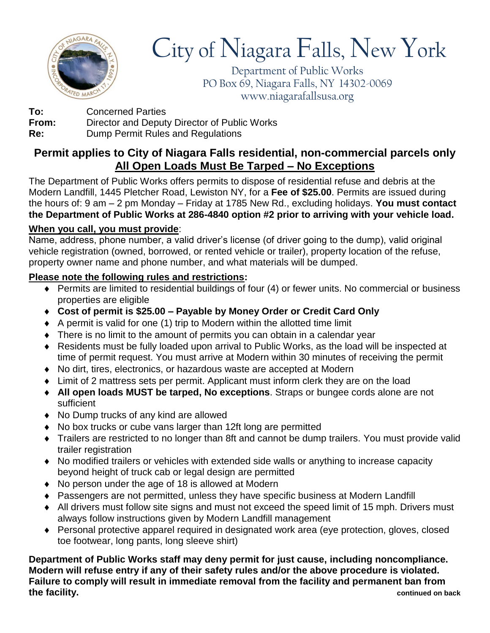

## City of Niagara Falls, New York

Department of Public Works PO Box 69, Niagara Falls, NY 14302-0069 www.niagarafallsusa.org

**To:** Concerned Parties **From:** Director and Deputy Director of Public Works **Re:** Dump Permit Rules and Regulations

## **Permit applies to City of Niagara Falls residential, non-commercial parcels only All Open Loads Must Be Tarped – No Exceptions**

The Department of Public Works offers permits to dispose of residential refuse and debris at the Modern Landfill, 1445 Pletcher Road, Lewiston NY, for a **Fee of \$25.00**. Permits are issued during the hours of: 9 am – 2 pm Monday – Friday at 1785 New Rd., excluding holidays. **You must contact the Department of Public Works at 286-4840 option #2 prior to arriving with your vehicle load.**

## **When you call, you must provide**:

Name, address, phone number, a valid driver's license (of driver going to the dump), valid original vehicle registration (owned, borrowed, or rented vehicle or trailer), property location of the refuse, property owner name and phone number, and what materials will be dumped.

## **Please note the following rules and restrictions:**

- Permits are limited to residential buildings of four (4) or fewer units. No commercial or business properties are eligible
- **Cost of permit is \$25.00 – Payable by Money Order or Credit Card Only**
- $\triangle$  A permit is valid for one (1) trip to Modern within the allotted time limit
- There is no limit to the amount of permits you can obtain in a calendar year
- Residents must be fully loaded upon arrival to Public Works, as the load will be inspected at time of permit request. You must arrive at Modern within 30 minutes of receiving the permit
- No dirt, tires, electronics, or hazardous waste are accepted at Modern
- Limit of 2 mattress sets per permit. Applicant must inform clerk they are on the load
- **All open loads MUST be tarped, No exceptions**. Straps or bungee cords alone are not sufficient
- No Dump trucks of any kind are allowed
- No box trucks or cube vans larger than 12ft long are permitted
- Trailers are restricted to no longer than 8ft and cannot be dump trailers. You must provide valid trailer registration
- No modified trailers or vehicles with extended side walls or anything to increase capacity beyond height of truck cab or legal design are permitted
- No person under the age of 18 is allowed at Modern
- Passengers are not permitted, unless they have specific business at Modern Landfill
- All drivers must follow site signs and must not exceed the speed limit of 15 mph. Drivers must always follow instructions given by Modern Landfill management
- Personal protective apparel required in designated work area (eye protection, gloves, closed toe footwear, long pants, long sleeve shirt)

**Department of Public Works staff may deny permit for just cause, including noncompliance. Modern will refuse entry if any of their safety rules and/or the above procedure is violated. Failure to comply will result in immediate removal from the facility and permanent ban from the facility. continued on back**